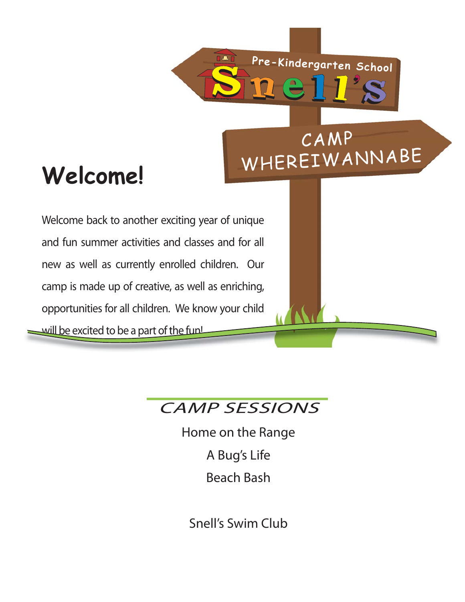CAMP

# Welcome! WHEREIWANNABE

Welcome back to another exciting year of unique and fun summer activities and classes and for all new as well as currently enrolled children. Our camp is made up of creative, as well as enriching, opportunities for all children. We know your child will be excited to be a part of the fun! **Pre-Kindergarten School**<br> **OFFICE AMP**<br> **CAMP**<br> **CAMP**<br> **CAMP**<br> **EXAMP**<br> **EXAMP**<br> **EXAMP**<br> **EXAMP**<br> **EXAMP**<br> **EXAMP**<br> **EXAMP**<br> **EXAMP**<br> **EXAMP**<br> **EXAMP**<br> **EXAMP**<br> **EXAMP**<br> **EXAMP**<br> **EXAMP**<br> **EXAMP**<br> **EXAMP**<br> **EXAMP**<br> **EXA** 

## CAMP SESSIONS

 $S_{\text{max}}$ 

Home on the Range A Bug's Life Beach Bash

Snell's Swim Club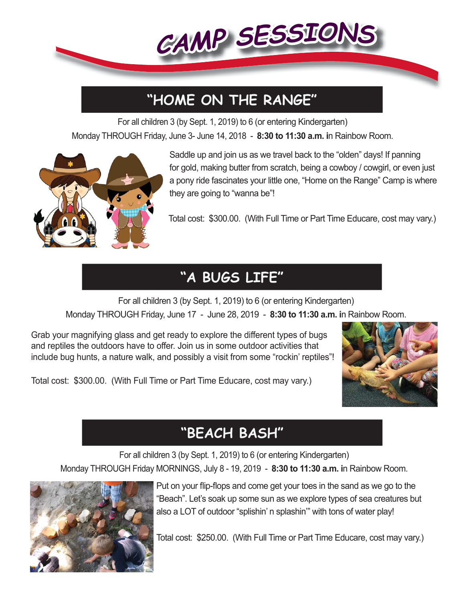

## **"HOME ON THE RANGE"**

For all children 3 (by Sept. 1, 2019) to 6 (or entering Kindergarten) Monday THROUGH Friday, June 3- June 14, 2018 - **8:30 to 11:30 a.m. i**n Rainbow Room.



 Saddle up and join us as we travel back to the "olden" days! If panning for gold, making butter from scratch, being a cowboy / cowgirl, or even just a pony ride fascinates your little one, "Home on the Range" Camp is where they are going to "wanna be"!

Total cost: \$300.00. (With Full Time or Part Time Educare, cost may vary.)

## **"A BUGS LIFE"**

For all children 3 (by Sept. 1, 2019) to 6 (or entering Kindergarten) Monday THROUGH Friday, June 17 - June 28, 2019 - **8:30 to 11:30 a.m. i**n Rainbow Room.

Grab your magnifying glass and get ready to explore the different types of bugs and reptiles the outdoors have to offer. Join us in some outdoor activities that include bug hunts, a nature walk, and possibly a visit from some "rockin' reptiles"!



Total cost: \$300.00. (With Full Time or Part Time Educare, cost may vary.)

## **"BEACH BASH"**

For all children 3 (by Sept. 1, 2019) to 6 (or entering Kindergarten)

Monday THROUGH Friday MORNINGS, July 8 - 19, 2019 - **8:30 to 11:30 a.m. i**n Rainbow Room.



Put on your flip-flops and come get your toes in the sand as we go to the "Beach". Let's soak up some sun as we explore types of sea creatures but also a LOT of outdoor "splishin' n splashin'" with tons of water play!

Total cost: \$250.00. (With Full Time or Part Time Educare, cost may vary.)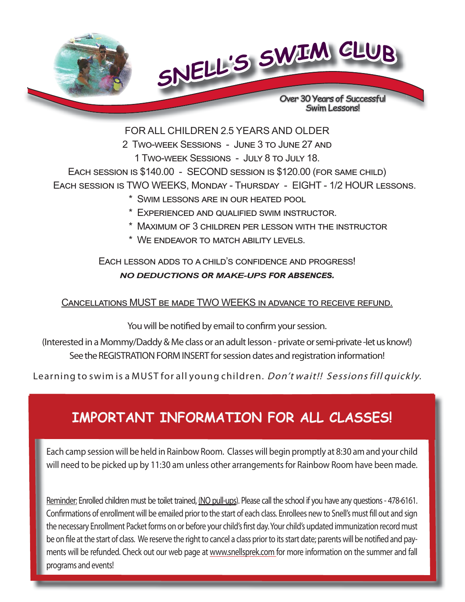

FOR ALL CHILDREN 2.5 YEARS AND OLDER

2 TWO-WEEK SESSIONS - JUNE 3 TO JUNE 27 AND 1 TWO-WEEK SESSIONS - JULY 8 TO JULY 18.

EACH SESSION IS \$140.00 - SECOND SESSION IS \$120.00 (FOR SAME CHILD) EACH SESSION IS TWO WEEKS, MONDAY - THURSDAY - EIGHT - 1/2 HOUR LESSONS.

- \* SWIM LESSONS ARE IN OUR HEATED POOL
- $*$  EXPERIENCED AND QUALIFIED SWIM INSTRUCTOR.
- \* MAXIMUM OF 3 CHILDREN PER LESSON WITH THE INSTRUCTOR
- \* WE ENDEAVOR TO MATCH ABILITY LEVELS.

EACH LESSON ADDS TO A CHILD'S CONFIDENCE AND PROGRESS! **NO DEDUCTIONS OR MAKE-UPS FOR ABSENCES.** 

#### CANCELLATIONS MUST BE MADE TWO WEEKS IN ADVANCE TO RECEIVE REFUND.

You will be notified by email to confirm your session.

(Interested in a Mommy/Daddy & Me class or an adult lesson - private or semi-private -let us know!) See the REGISTRATION FORM INSERT for session dates and registration information!

Learning to swim is a MUST for all young children. *Don't wait!! Sessions fill quickly.* 

## **IMPORTANT INFORMATION FOR ALL CLASSES!**

Each camp session will be held in Rainbow Room. Classes will begin promptly at 8:30 am and your child will need to be picked up by 11:30 am unless other arrangements for Rainbow Room have been made.

Reminder: Enrolled children must be toilet trained, (NO pull-ups). Please call the school if you have any questions - 478-6161. Confirmations of enrollment will be emailed prior to the start of each class. Enrollees new to Snell's must fill out and sign the necessary Enrollment Packet forms on or before your child's first day. Your child's updated immunization record must be on file at the start of class. We reserve the right to cancel a class prior to its start date; parents will be notified and payments will be refunded. Check out our web page at www.snellsprek.com for more information on the summer and fall programs and events!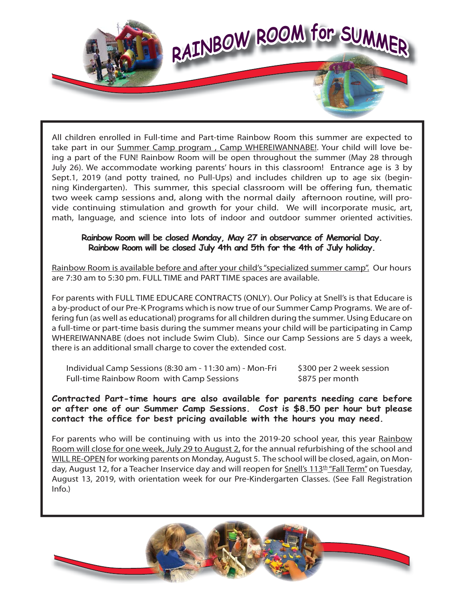

All children enrolled in Full-time and Part-time Rainbow Room this summer are expected to take part in our Summer Camp program , Camp WHEREIWANNABE!. Your child will love being a part of the FUN! Rainbow Room will be open throughout the summer (May 28 through July 26). We accommodate working parents' hours in this classroom! Entrance age is 3 by Sept.1, 2019 (and potty trained, no Pull-Ups) and includes children up to age six (beginning Kindergarten). This summer, this special classroom will be offering fun, thematic two week camp sessions and, along with the normal daily afternoon routine, will provide continuing stimulation and growth for your child. We will incorporate music, art, math, language, and science into lots of indoor and outdoor summer oriented activities.

#### **Rainbow Room will be closed Monday, May 27 in observance of Memorial Day. Rainbow Room will be closed July 4th and 5th for the 4th of July holiday.**

Rainbow Room is available before and after your child's "specialized summer camp". Our hours are 7:30 am to 5:30 pm. FULL TIME and PART TIME spaces are available.

For parents with FULL TIME EDUCARE CONTRACTS (ONLY). Our Policy at Snell's is that Educare is a by-product of our Pre-K Programs which is now true of our Summer Camp Programs. We are offering fun (as well as educational) programs for all children during the summer. Using Educare on a full-time or part-time basis during the summer means your child will be participating in Camp WHEREIWANNABE (does not include Swim Club). Since our Camp Sessions are 5 days a week, there is an additional small charge to cover the extended cost.

Individual Camp Sessions (8:30 am - 11:30 am) - Mon-Fri \$300 per 2 week session Full-time Rainbow Room with Camp Sessions \$875 per month

**Contracted Part-time hours are also available for parents needing care before or after one of our Summer Camp Sessions. Cost is \$8.50 per hour but please contact the offi ce for best pricing available with the hours you may need.**

For parents who will be continuing with us into the 2019-20 school year, this year Rainbow Room will close for one week, July 29 to August 2, for the annual refurbishing of the school and WILL RE-OPEN for working parents on Monday, August 5. The school will be closed, again, on Monday, August 12, for a Teacher Inservice day and will reopen for Snell's 113<sup>th</sup> "Fall Term" on Tuesday, August 13, 2019, with orientation week for our Pre-Kindergarten Classes. (See Fall Registration Info.)

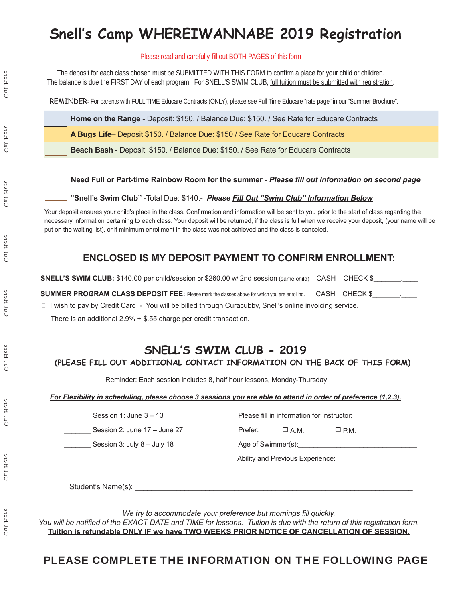## **Snell's Camp WHEREIWANNABE 2019 Registration**

#### Please read and carefully fill out BOTH PAGES of this form

The deposit for each class chosen must be SUBMITTED WITH THIS FORM to confirm a place for your child or children. The balance is due the FIRST DAY of each program. For SNELL'S SWIM CLUB, full tuition must be submitted with registration.

REMINDER: For parents with FULL TIME Educare Contracts (ONLY), please see Full Time Educare "rate page" in our "Summer Brochure".

**Home on the Range** - Deposit: \$150. / Balance Due: \$150. / See Rate for Educare Contracts

**A Bugs Life**– Deposit \$150. / Balance Due: \$150 / See Rate for Educare Contracts

**Beach Bash** - Deposit: \$150. / Balance Due: \$150. / See Rate for Educare Contracts

#### **Need Full or Part-time Rainbow Room for the summer - Please fill out information on second page**

#### **"Snell's Swim Club"** -Total Due: \$140.- *Please Fill Out "Swim Club" Information Below*

Your deposit ensures your child's place in the class. Confirmation and information will be sent to you prior to the start of class regarding the necessary information pertaining to each class. Your deposit will be returned, if the class is full when we receive your deposit, (your name will be put on the waiting list), or if minimum enrollment in the class was not achieved and the class is canceled.

#### **ENCLOSED IS MY DEPOSIT PAYMENT TO CONFIRM ENROLLMENT:**

**SNELL'S SWIM CLUB:** \$140.00 per child/session or \$260.00 w/ 2nd session (same child) CASH CHECK \$

| <b>SUMMER PROGRAM CLASS DEPOSIT FEE:</b> Please mark the classes above for which you are enrolling. CASH CHECK \$ |  |  |
|-------------------------------------------------------------------------------------------------------------------|--|--|
|                                                                                                                   |  |  |

□ I wish to pay by Credit Card - You will be billed through Curacubby, Snell's online invoicing service.

There is an additional 2.9% + \$.55 charge per credit transaction.

### **SNELL'S SWIM CLUB - 2019**

#### **(PLEASE FILL OUT ADDITIONAL CONTACT INFORMATION ON THE BACK OF THIS FORM)**

Reminder: Each session includes 8, half hour lessons, Monday-Thursday

#### *For Flexibility in scheduling, please choose 3 sessions you are able to attend in order of preference (1,2,3).*

| Session 1: June $3-13$         | Please fill in information for Instructor: |  |  |  |  |  |
|--------------------------------|--------------------------------------------|--|--|--|--|--|
| Session 2: June $17 -$ June 27 | Prefer:<br>$\Box$ A.M.<br>$\square$ P.M.   |  |  |  |  |  |
| Session 3: July $8 -$ July 18  | Age of Swimmer(s): Age of Swimmer(s):      |  |  |  |  |  |
|                                | Ability and Previous Experience:           |  |  |  |  |  |

Student's Name(s):

We try to accommodate your preference but mornings fill quickly.

*You will be notified of the EXACT DATE and TIME for lessons. Tuition is due with the return of this registration form.* **Tuition is refundable ONLY IF we have TWO WEEKS PRIOR NOTICE OF CANCELLATION OF SESSION***.*

#### PLEASE COMPLETE THE INFORMATION ON THE FOLLOWING PAGE

Here  $C<sub>II</sub>$ 

Here  $C<sub>HI</sub>$ 

Here  $\tilde{C}$ 

Cut Here